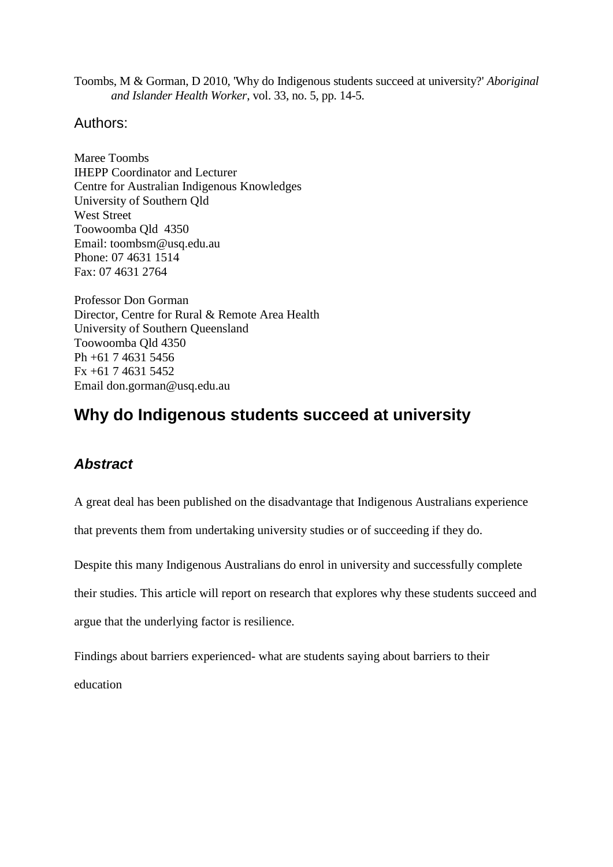Toombs, M & Gorman, D 2010, 'Why do Indigenous students succeed at university?' *Aboriginal and Islander Health Worker*, vol. 33, no. 5, pp. 14-5.

## Authors:

Maree Toombs IHEPP Coordinator and Lecturer Centre for Australian Indigenous Knowledges University of Southern Qld West Street Toowoomba Qld 4350 Email: toombsm@usq.edu.au Phone: 07 4631 1514 Fax: 07 4631 2764

Professor Don Gorman Director, Centre for Rural & Remote Area Health University of Southern Queensland Toowoomba Qld 4350 Ph +61 7 4631 5456 Fx +61 7 4631 5452 Email don.gorman@usq.edu.au

# **Why do Indigenous students succeed at university**

## *Abstract*

A great deal has been published on the disadvantage that Indigenous Australians experience

that prevents them from undertaking university studies or of succeeding if they do.

Despite this many Indigenous Australians do enrol in university and successfully complete

their studies. This article will report on research that explores why these students succeed and

argue that the underlying factor is resilience.

Findings about barriers experienced- what are students saying about barriers to their education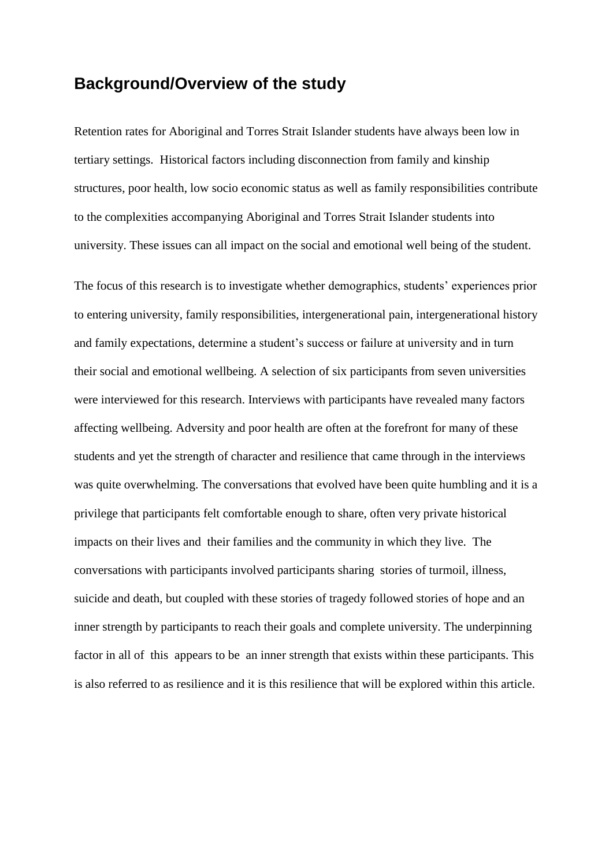## **Background/Overview of the study**

Retention rates for Aboriginal and Torres Strait Islander students have always been low in tertiary settings. Historical factors including disconnection from family and kinship structures, poor health, low socio economic status as well as family responsibilities contribute to the complexities accompanying Aboriginal and Torres Strait Islander students into university. These issues can all impact on the social and emotional well being of the student.

The focus of this research is to investigate whether demographics, students' experiences prior to entering university, family responsibilities, intergenerational pain, intergenerational history and family expectations, determine a student's success or failure at university and in turn their social and emotional wellbeing. A selection of six participants from seven universities were interviewed for this research. Interviews with participants have revealed many factors affecting wellbeing. Adversity and poor health are often at the forefront for many of these students and yet the strength of character and resilience that came through in the interviews was quite overwhelming. The conversations that evolved have been quite humbling and it is a privilege that participants felt comfortable enough to share, often very private historical impacts on their lives and their families and the community in which they live. The conversations with participants involved participants sharing stories of turmoil, illness, suicide and death, but coupled with these stories of tragedy followed stories of hope and an inner strength by participants to reach their goals and complete university. The underpinning factor in all of this appears to be an inner strength that exists within these participants. This is also referred to as resilience and it is this resilience that will be explored within this article.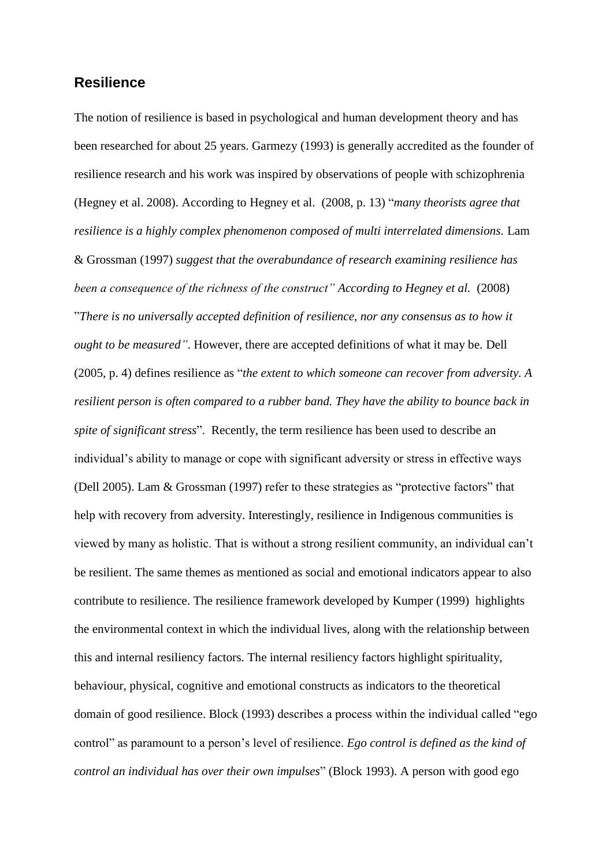## **Resilience**

The notion of resilience is based in psychological and human development theory and has been researched for about 25 years. Garmezy (1993) is generally accredited as the founder of resilience research and his work was inspired by observations of people with schizophrenia (Hegney et al. 2008). According to Hegney et al. (2008, p. 13) "*many theorists agree that resilience is a highly complex phenomenon composed of multi interrelated dimensions.* Lam & Grossman (1997) *suggest that the overabundance of research examining resilience has been a consequence of the richness of the construct" According to Hegney et al.* (2008) "*There is no universally accepted definition of resilience, nor any consensus as to how it ought to be measured"*. However, there are accepted definitions of what it may be. Dell (2005, p. 4) defines resilience as "*the extent to which someone can recover from adversity. A resilient person is often compared to a rubber band. They have the ability to bounce back in spite of significant stress*". Recently, the term resilience has been used to describe an individual's ability to manage or cope with significant adversity or stress in effective ways (Dell 2005). Lam & Grossman (1997) refer to these strategies as "protective factors" that help with recovery from adversity. Interestingly, resilience in Indigenous communities is viewed by many as holistic. That is without a strong resilient community, an individual can"t be resilient. The same themes as mentioned as social and emotional indicators appear to also contribute to resilience. The resilience framework developed by Kumper (1999) highlights the environmental context in which the individual lives, along with the relationship between this and internal resiliency factors. The internal resiliency factors highlight spirituality, behaviour, physical, cognitive and emotional constructs as indicators to the theoretical domain of good resilience. Block (1993) describes a process within the individual called "ego control" as paramount to a person"s level of resilience. *Ego control is defined as the kind of control an individual has over their own impulses*" (Block 1993). A person with good ego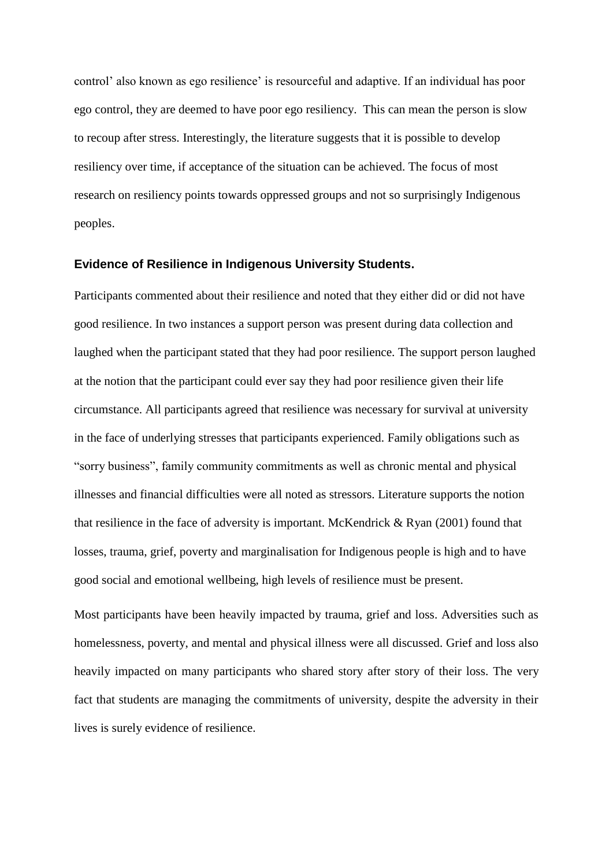control" also known as ego resilience" is resourceful and adaptive. If an individual has poor ego control, they are deemed to have poor ego resiliency. This can mean the person is slow to recoup after stress. Interestingly, the literature suggests that it is possible to develop resiliency over time, if acceptance of the situation can be achieved. The focus of most research on resiliency points towards oppressed groups and not so surprisingly Indigenous peoples.

#### **Evidence of Resilience in Indigenous University Students.**

Participants commented about their resilience and noted that they either did or did not have good resilience. In two instances a support person was present during data collection and laughed when the participant stated that they had poor resilience. The support person laughed at the notion that the participant could ever say they had poor resilience given their life circumstance. All participants agreed that resilience was necessary for survival at university in the face of underlying stresses that participants experienced. Family obligations such as "sorry business", family community commitments as well as chronic mental and physical illnesses and financial difficulties were all noted as stressors. Literature supports the notion that resilience in the face of adversity is important. McKendrick & Ryan (2001) found that losses, trauma, grief, poverty and marginalisation for Indigenous people is high and to have good social and emotional wellbeing, high levels of resilience must be present.

Most participants have been heavily impacted by trauma, grief and loss. Adversities such as homelessness, poverty, and mental and physical illness were all discussed. Grief and loss also heavily impacted on many participants who shared story after story of their loss. The very fact that students are managing the commitments of university, despite the adversity in their lives is surely evidence of resilience.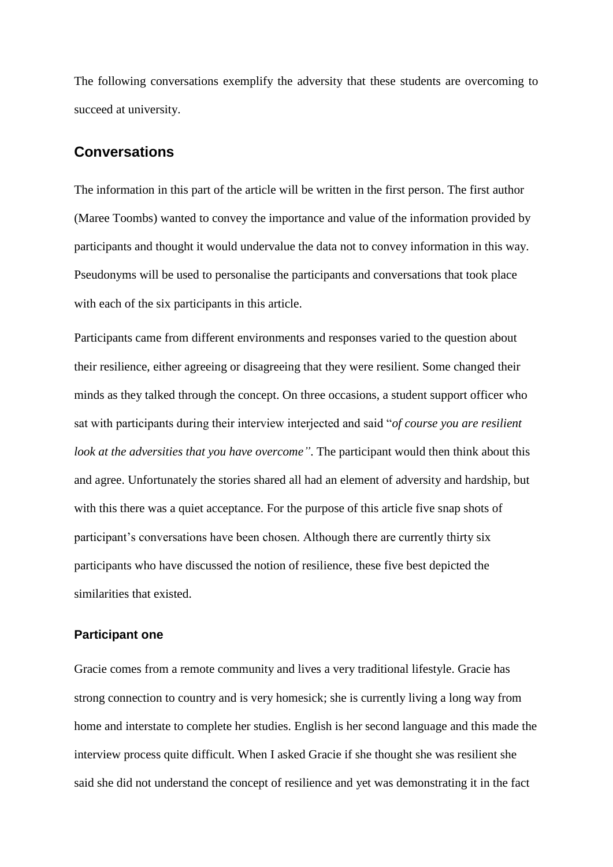The following conversations exemplify the adversity that these students are overcoming to succeed at university.

## **Conversations**

The information in this part of the article will be written in the first person. The first author (Maree Toombs) wanted to convey the importance and value of the information provided by participants and thought it would undervalue the data not to convey information in this way. Pseudonyms will be used to personalise the participants and conversations that took place with each of the six participants in this article.

Participants came from different environments and responses varied to the question about their resilience, either agreeing or disagreeing that they were resilient. Some changed their minds as they talked through the concept. On three occasions, a student support officer who sat with participants during their interview interjected and said "*of course you are resilient look at the adversities that you have overcome"*. The participant would then think about this and agree. Unfortunately the stories shared all had an element of adversity and hardship, but with this there was a quiet acceptance. For the purpose of this article five snap shots of participant"s conversations have been chosen. Although there are currently thirty six participants who have discussed the notion of resilience, these five best depicted the similarities that existed.

#### **Participant one**

Gracie comes from a remote community and lives a very traditional lifestyle. Gracie has strong connection to country and is very homesick; she is currently living a long way from home and interstate to complete her studies. English is her second language and this made the interview process quite difficult. When I asked Gracie if she thought she was resilient she said she did not understand the concept of resilience and yet was demonstrating it in the fact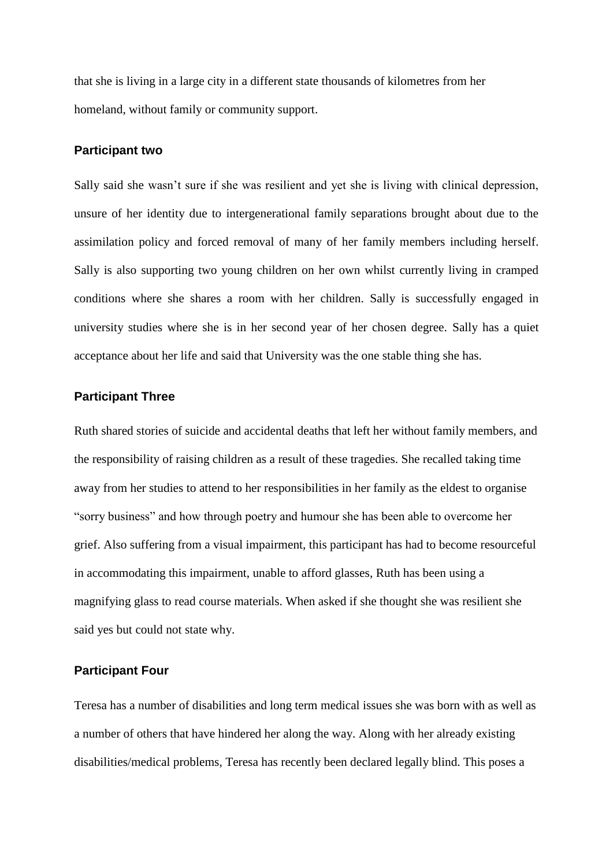that she is living in a large city in a different state thousands of kilometres from her homeland, without family or community support.

#### **Participant two**

Sally said she wasn't sure if she was resilient and yet she is living with clinical depression, unsure of her identity due to intergenerational family separations brought about due to the assimilation policy and forced removal of many of her family members including herself. Sally is also supporting two young children on her own whilst currently living in cramped conditions where she shares a room with her children. Sally is successfully engaged in university studies where she is in her second year of her chosen degree. Sally has a quiet acceptance about her life and said that University was the one stable thing she has.

#### **Participant Three**

Ruth shared stories of suicide and accidental deaths that left her without family members, and the responsibility of raising children as a result of these tragedies. She recalled taking time away from her studies to attend to her responsibilities in her family as the eldest to organise "sorry business" and how through poetry and humour she has been able to overcome her grief. Also suffering from a visual impairment, this participant has had to become resourceful in accommodating this impairment, unable to afford glasses, Ruth has been using a magnifying glass to read course materials. When asked if she thought she was resilient she said yes but could not state why.

## **Participant Four**

Teresa has a number of disabilities and long term medical issues she was born with as well as a number of others that have hindered her along the way. Along with her already existing disabilities/medical problems, Teresa has recently been declared legally blind. This poses a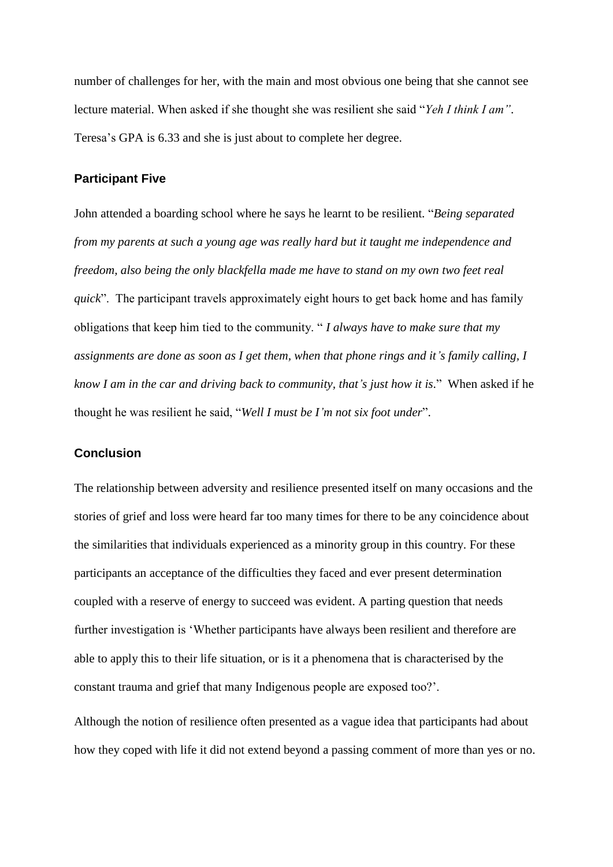number of challenges for her, with the main and most obvious one being that she cannot see lecture material. When asked if she thought she was resilient she said "*Yeh I think I am"*. Teresa"s GPA is 6.33 and she is just about to complete her degree.

#### **Participant Five**

John attended a boarding school where he says he learnt to be resilient. "*Being separated from my parents at such a young age was really hard but it taught me independence and freedom, also being the only blackfella made me have to stand on my own two feet real quick*". The participant travels approximately eight hours to get back home and has family obligations that keep him tied to the community. " *I always have to make sure that my assignments are done as soon as I get them, when that phone rings and it's family calling, I know I am in the car and driving back to community, that's just how it is*." When asked if he thought he was resilient he said, "*Well I must be I'm not six foot under*".

### **Conclusion**

The relationship between adversity and resilience presented itself on many occasions and the stories of grief and loss were heard far too many times for there to be any coincidence about the similarities that individuals experienced as a minority group in this country. For these participants an acceptance of the difficulties they faced and ever present determination coupled with a reserve of energy to succeed was evident. A parting question that needs further investigation is "Whether participants have always been resilient and therefore are able to apply this to their life situation, or is it a phenomena that is characterised by the constant trauma and grief that many Indigenous people are exposed too?".

Although the notion of resilience often presented as a vague idea that participants had about how they coped with life it did not extend beyond a passing comment of more than yes or no.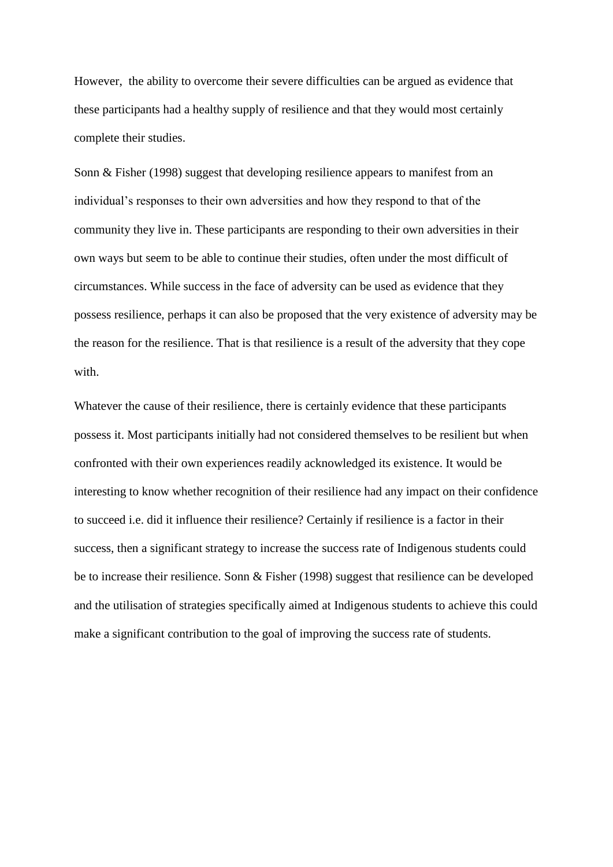However, the ability to overcome their severe difficulties can be argued as evidence that these participants had a healthy supply of resilience and that they would most certainly complete their studies.

Sonn & Fisher (1998) suggest that developing resilience appears to manifest from an individual"s responses to their own adversities and how they respond to that of the community they live in. These participants are responding to their own adversities in their own ways but seem to be able to continue their studies, often under the most difficult of circumstances. While success in the face of adversity can be used as evidence that they possess resilience, perhaps it can also be proposed that the very existence of adversity may be the reason for the resilience. That is that resilience is a result of the adversity that they cope with.

Whatever the cause of their resilience, there is certainly evidence that these participants possess it. Most participants initially had not considered themselves to be resilient but when confronted with their own experiences readily acknowledged its existence. It would be interesting to know whether recognition of their resilience had any impact on their confidence to succeed i.e. did it influence their resilience? Certainly if resilience is a factor in their success, then a significant strategy to increase the success rate of Indigenous students could be to increase their resilience. Sonn & Fisher (1998) suggest that resilience can be developed and the utilisation of strategies specifically aimed at Indigenous students to achieve this could make a significant contribution to the goal of improving the success rate of students.